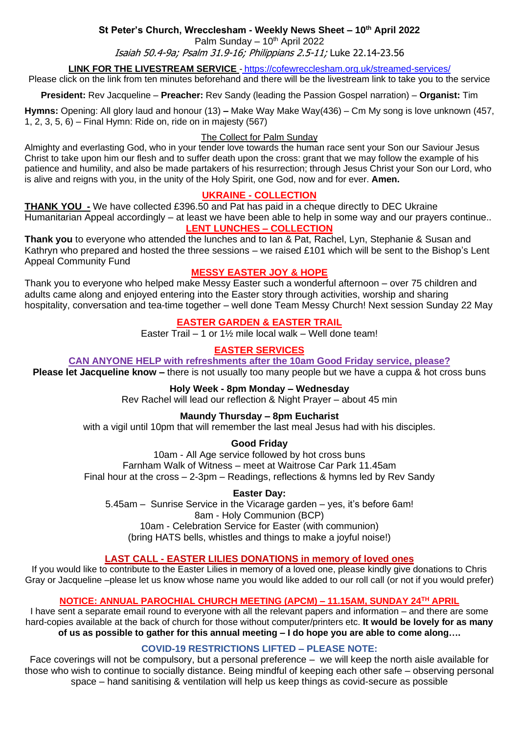## **St Peter's Church, Wrecclesham - Weekly News Sheet – 10th April 2022**

Palm Sunday  $-10<sup>th</sup>$  April 2022

Isaiah 50.4-9a; Psalm 31.9-16; Philippians 2.5-11; Luke 22.14-23.56

#### **LINK FOR THE LIVESTREAM SERVICE** - <https://cofewrecclesham.org.uk/streamed-services/>

Please click on the link from ten minutes beforehand and there will be the livestream link to take you to the service

**President:** Rev Jacqueline – **Preacher:** Rev Sandy (leading the Passion Gospel narration) – **Organist:** Tim

**Hymns:** Opening: All glory laud and honour (13) **–** Make Way Make Way(436) – Cm My song is love unknown (457, 1, 2, 3, 5, 6) – Final Hymn: Ride on, ride on in majesty (567)

#### The Collect for Palm Sunday

Almighty and everlasting God, who in your tender love towards the human race sent your Son our Saviour Jesus Christ to take upon him our flesh and to suffer death upon the cross: grant that we may follow the example of his patience and humility, and also be made partakers of his resurrection; through Jesus Christ your Son our Lord, who is alive and reigns with you, in the unity of the Holy Spirit, one God, now and for ever. **Amen.**

### **UKRAINE - COLLECTION**

**THANK YOU** - We have collected £396.50 and Pat has paid in a cheque directly to DEC Ukraine Humanitarian Appeal accordingly – at least we have been able to help in some way and our prayers continue.. **LENT LUNCHES – COLLECTION**

**Thank you** to everyone who attended the lunches and to Ian & Pat, Rachel, Lyn, Stephanie & Susan and Kathryn who prepared and hosted the three sessions – we raised £101 which will be sent to the Bishop's Lent Appeal Community Fund

## **MESSY EASTER JOY & HOPE**

Thank you to everyone who helped make Messy Easter such a wonderful afternoon – over 75 children and adults came along and enjoyed entering into the Easter story through activities, worship and sharing hospitality, conversation and tea-time together – well done Team Messy Church! Next session Sunday 22 May

### **EASTER GARDEN & EASTER TRAIL**

Easter Trail – 1 or 1½ mile local walk – Well done team!

## **EASTER SERVICES**

**CAN ANYONE HELP with refreshments after the 10am Good Friday service, please?**

**Please let Jacqueline know –** there is not usually too many people but we have a cuppa & hot cross buns

### **Holy Week - 8pm Monday – Wednesday**

Rev Rachel will lead our reflection & Night Prayer – about 45 min

### **Maundy Thursday – 8pm Eucharist**

with a vigil until 10pm that will remember the last meal Jesus had with his disciples.

**Good Friday**

10am - All Age service followed by hot cross buns Farnham Walk of Witness – meet at Waitrose Car Park 11.45am Final hour at the cross – 2-3pm – Readings, reflections & hymns led by Rev Sandy

**Easter Day:** 5.45am – Sunrise Service in the Vicarage garden – yes, it's before 6am! 8am - Holy Communion (BCP) 10am - Celebration Service for Easter (with communion) (bring HATS bells, whistles and things to make a joyful noise!)

### **LAST CALL - EASTER LILIES DONATIONS in memory of loved ones**

If you would like to contribute to the Easter Lilies in memory of a loved one, please kindly give donations to Chris Gray or Jacqueline –please let us know whose name you would like added to our roll call (or not if you would prefer)

#### **NOTICE: ANNUAL PAROCHIAL CHURCH MEETING (APCM) – 11.15AM, SUNDAY 24TH APRIL**

I have sent a separate email round to everyone with all the relevant papers and information – and there are some hard-copies available at the back of church for those without computer/printers etc. **It would be lovely for as many of us as possible to gather for this annual meeting – I do hope you are able to come along….**

#### **COVID-19 RESTRICTIONS LIFTED – PLEASE NOTE:**

Face coverings will not be compulsory, but a personal preference – we will keep the north aisle available for those who wish to continue to socially distance. Being mindful of keeping each other safe – observing personal space – hand sanitising & ventilation will help us keep things as covid-secure as possible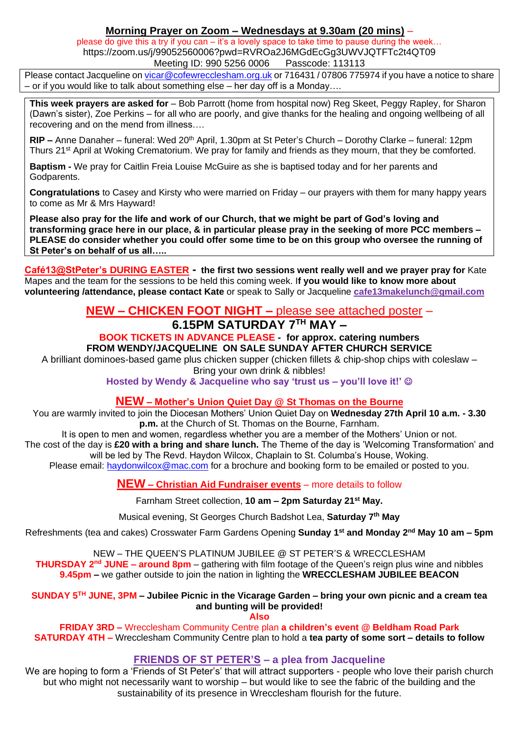# **Morning Prayer on Zoom – Wednesdays at 9.30am (20 mins)** –

please do give this a try if you can – it's a lovely space to take time to pause during the week... https://zoom.us/j/99052560006?pwd=RVROa2J6MGdEcGg3UWVJQTFTc2t4QT09 Meeting ID: 990 5256 0006 Passcode: 113113

Please contact Jacqueline on [vicar@cofewrecclesham.org.uk](mailto:vicar@cofewrecclesham.org.uk) or 716431 / 07806 775974 if you have a notice to share – or if you would like to talk about something else – her day off is a Monday….

**This week prayers are asked for** – Bob Parrott (home from hospital now) Reg Skeet, Peggy Rapley, for Sharon (Dawn's sister), Zoe Perkins – for all who are poorly, and give thanks for the healing and ongoing wellbeing of all recovering and on the mend from illness….

**RIP –** Anne Danaher – funeral: Wed 20<sup>th</sup> April, 1.30pm at St Peter's Church – Dorothy Clarke – funeral: 12pm Thurs 21<sup>st</sup> April at Woking Crematorium. We pray for family and friends as they mourn, that they be comforted.

**Baptism -** We pray for Caitlin Freia Louise McGuire as she is baptised today and for her parents and Godparents.

**Congratulations** to Casey and Kirsty who were married on Friday – our prayers with them for many happy years to come as Mr & Mrs Hayward!

**Please also pray for the life and work of our Church, that we might be part of God's loving and transforming grace here in our place, & in particular please pray in the seeking of more PCC members – PLEASE do consider whether you could offer some time to be on this group who oversee the running of St Peter's on behalf of us all…..**

**Café13@StPeter's DURING EASTER - the first two sessions went really well and we prayer pray for** Kate Mapes and the team for the sessions to be held this coming week. I**f you would like to know more about volunteering /attendance, please contact Kate** or speak to Sally or Jacqueline **[cafe13makelunch@gmail.com](mailto:cafe13makelunch@gmail.com)**

# **NEW – CHICKEN FOOT NIGHT –** please see attached poster – **6.15PM SATURDAY 7TH MAY –**

## **BOOK TICKETS IN ADVANCE PLEASE - for approx. catering numbers FROM WENDY/JACQUELINE ON SALE SUNDAY AFTER CHURCH SERVICE**

A brilliant dominoes-based game plus chicken supper (chicken fillets & chip-shop chips with coleslaw – Bring your own drink & nibbles!

**Hosted by Wendy & Jacqueline who say 'trust us – you'll love it!'** ☺

# **NEW – Mother's Union Quiet Day @ St Thomas on the Bourne**

You are warmly invited to join the Diocesan Mothers' Union Quiet Day on **Wednesday 27th April 10 a.m. - 3.30 p.m.** at the Church of St. Thomas on the Bourne, Farnham.

It is open to men and women, regardless whether you are a member of the Mothers' Union or not.

The cost of the day is **£20 with a bring and share lunch.** The Theme of the day is 'Welcoming Transformation' and will be led by The Revd. Haydon Wilcox, Chaplain to St. Columba's House, Woking.

Please email: [haydonwilcox@mac.com](mailto:haydonwilcox@mac.com) for a brochure and booking form to be emailed or posted to you.

# **NEW – Christian Aid Fundraiser events** – more details to follow

Farnham Street collection, **10 am – 2pm Saturday 21st May.**

Musical evening, St Georges Church Badshot Lea, **Saturday 7th May**

Refreshments (tea and cakes) Crosswater Farm Gardens Opening **Sunday 1st and Monday 2nd May 10 am – 5pm**

NEW – THE QUEEN'S PLATINUM JUBILEE @ ST PETER'S & WRECCLESHAM **THURSDAY 2 nd JUNE – around 8pm** – gathering with film footage of the Queen's reign plus wine and nibbles **9.45pm –** we gather outside to join the nation in lighting the **WRECCLESHAM JUBILEE BEACON**

**SUNDAY 5 TH JUNE, 3PM – Jubilee Picnic in the Vicarage Garden – bring your own picnic and a cream tea and bunting will be provided!**

**Also**

**FRIDAY 3RD –** Wrecclesham Community Centre plan **a children's event @ Beldham Road Park SATURDAY 4TH –** Wrecclesham Community Centre plan to hold a **tea party of some sort – details to follow**

# **FRIENDS OF ST PETER'S – a plea from Jacqueline**

We are hoping to form a 'Friends of St Peter's' that will attract supporters - people who love their parish church but who might not necessarily want to worship – but would like to see the fabric of the building and the sustainability of its presence in Wrecclesham flourish for the future.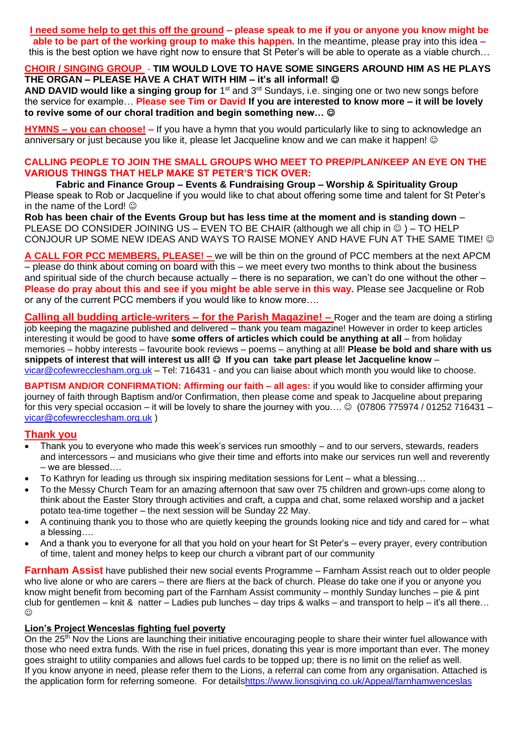# **I need some help to get this off the ground – please speak to me if you or anyone you know might be**

**able to be part of the working group to make this happen.** In the meantime, please pray into this idea – this is the best option we have right now to ensure that St Peter's will be able to operate as a viable church…

### **CHOIR / SINGING GROUP** - **TIM WOULD LOVE TO HAVE SOME SINGERS AROUND HIM AS HE PLAYS THE ORGAN – PLEASE HAVE A CHAT WITH HIM – it's all informal!** ☺

AND DAVID would like a singing group for 1<sup>st</sup> and 3<sup>rd</sup> Sundays, i.e. singing one or two new songs before the service for example… **Please see Tim or David If you are interested to know more – it will be lovely to revive some of our choral tradition and begin something new…** ☺

**HYMNS – you can choose! –** If you have a hymn that you would particularly like to sing to acknowledge an anniversary or just because you like it, please let Jacqueline know and we can make it happen! ©

## **CALLING PEOPLE TO JOIN THE SMALL GROUPS WHO MEET TO PREP/PLAN/KEEP AN EYE ON THE VARIOUS THINGS THAT HELP MAKE ST PETER'S TICK OVER:**

**Fabric and Finance Group – Events & Fundraising Group – Worship & Spirituality Group** Please speak to Rob or Jacqueline if you would like to chat about offering some time and talent for St Peter's in the name of the Lord!  $\odot$ 

**Rob has been chair of the Events Group but has less time at the moment and is standing down** – PLEASE DO CONSIDER JOINING US – EVEN TO BE CHAIR (although we all chip in  $\circledcirc$ ) – TO HELP CONJOUR UP SOME NEW IDEAS AND WAYS TO RAISE MONEY AND HAVE FUN AT THE SAME TIME! ©

**A CALL FOR PCC MEMBERS, PLEASE! –** we will be thin on the ground of PCC members at the next APCM – please do think about coming on board with this – we meet every two months to think about the business and spiritual side of the church because actually – there is no separation, we can't do one without the other – **Please do pray about this and see if you might be able serve in this way.** Please see Jacqueline or Rob or any of the current PCC members if you would like to know more….

**Calling all budding article-writers – for the Parish Magazine! –** Roger and the team are doing a stirling job keeping the magazine published and delivered – thank you team magazine! However in order to keep articles interesting it would be good to have **some offers of articles which could be anything at all** – from holiday memories – hobby interests – favourite book reviews – poems – anything at all! **Please be bold and share with us**  snippets of interest that will interest us all!  $\odot$  If you can take part please let Jacqueline know [vicar@cofewrecclesham.org.uk](mailto:vicar@cofewrecclesham.org.uk) - Tel: 716431 - and you can liaise about which month you would like to choose.

**BAPTISM AND/OR CONFIRMATION: Affirming our faith – all ages:** if you would like to consider affirming your journey of faith through Baptism and/or Confirmation, then please come and speak to Jacqueline about preparing for this very special occasion – it will be lovely to share the journey with you....  $\odot$  (07806 775974 / 01252 716431 – [vicar@cofewrecclesham.org.uk](mailto:vicar@cofewrecclesham.org.uk) )

# **Thank you**

- Thank you to everyone who made this week's services run smoothly and to our servers, stewards, readers and intercessors – and musicians who give their time and efforts into make our services run well and reverently – we are blessed….
- To Kathryn for leading us through six inspiring meditation sessions for Lent what a blessing…
- To the Messy Church Team for an amazing afternoon that saw over 75 children and grown-ups come along to think about the Easter Story through activities and craft, a cuppa and chat, some relaxed worship and a jacket potato tea-time together – the next session will be Sunday 22 May.
- A continuing thank you to those who are quietly keeping the grounds looking nice and tidy and cared for what a blessing….
- And a thank you to everyone for all that you hold on your heart for St Peter's every prayer, every contribution of time, talent and money helps to keep our church a vibrant part of our community

**Farnham Assist** have published their new social events Programme – Farnham Assist reach out to older people who live alone or who are carers – there are fliers at the back of church. Please do take one if you or anyone you know might benefit from becoming part of the Farnham Assist community – monthly Sunday lunches – pie & pint club for gentlemen – knit & natter – Ladies pub lunches – day trips & walks – and transport to help – it's all there…  $\odot$ 

## **Lion's Project Wenceslas fighting fuel poverty**

On the 25<sup>th</sup> Nov the Lions are launching their initiative encouraging people to share their winter fuel allowance with those who need extra funds. With the rise in fuel prices, donating this year is more important than ever. The money goes straight to utility companies and allows fuel cards to be topped up; there is no limit on the relief as well. If you know anyone in need, please refer them to the Lions, a referral can come from any organisation. Attached is the application form for referring someone. For detail[shttps://www.lionsgiving.co.uk/Appeal/farnhamwenceslas](https://www.lionsgiving.co.uk/Appeal/farnhamwenceslas)